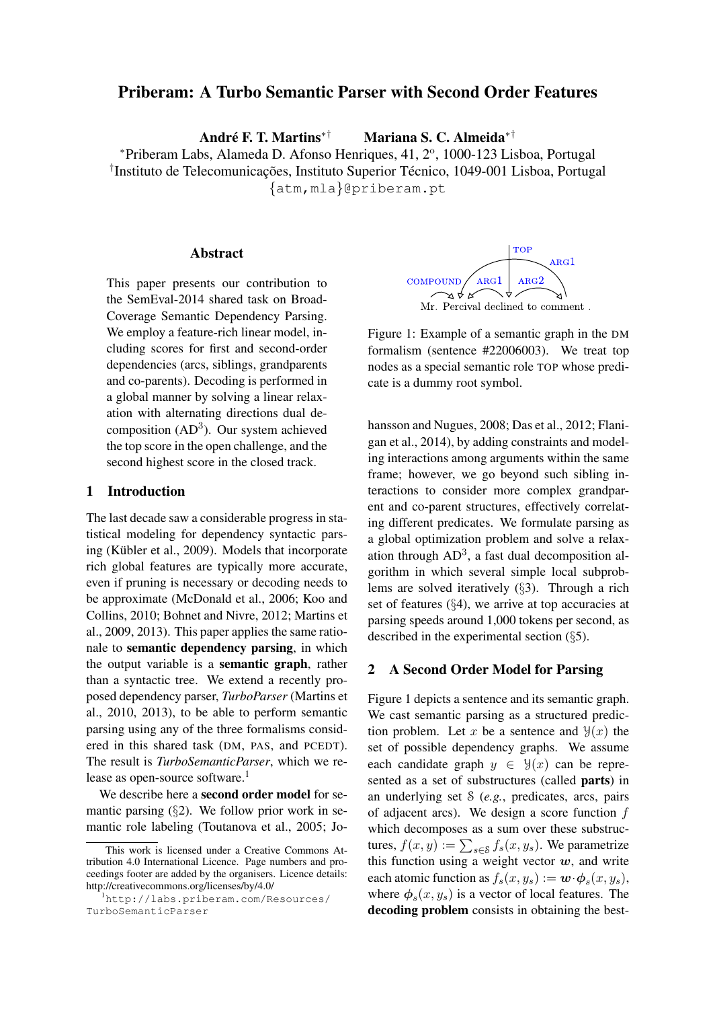# Priberam: A Turbo Semantic Parser with Second Order Features

André F. T. Martins $*^{\dagger}$ ∗† Mariana S. C. Almeida∗†

\*Priberam Labs, Alameda D. Afonso Henriques, 41, 2°, 1000-123 Lisboa, Portugal

<sup>†</sup>Instituto de Telecomunicações, Instituto Superior Técnico, 1049-001 Lisboa, Portugal

{atm,mla}@priberam.pt

#### Abstract

This paper presents our contribution to the SemEval-2014 shared task on Broad-Coverage Semantic Dependency Parsing. We employ a feature-rich linear model, including scores for first and second-order dependencies (arcs, siblings, grandparents and co-parents). Decoding is performed in a global manner by solving a linear relaxation with alternating directions dual decomposition  $(AD<sup>3</sup>)$ . Our system achieved the top score in the open challenge, and the second highest score in the closed track.

# 1 Introduction

The last decade saw a considerable progress in statistical modeling for dependency syntactic parsing (Kübler et al., 2009). Models that incorporate rich global features are typically more accurate, even if pruning is necessary or decoding needs to be approximate (McDonald et al., 2006; Koo and Collins, 2010; Bohnet and Nivre, 2012; Martins et al., 2009, 2013). This paper applies the same rationale to semantic dependency parsing, in which the output variable is a semantic graph, rather than a syntactic tree. We extend a recently proposed dependency parser, *TurboParser* (Martins et al., 2010, 2013), to be able to perform semantic parsing using any of the three formalisms considered in this shared task (DM, PAS, and PCEDT). The result is *TurboSemanticParser*, which we release as open-source software.<sup>1</sup>

We describe here a second order model for semantic parsing  $(\S2)$ . We follow prior work in semantic role labeling (Toutanova et al., 2005; Jo-



Figure 1: Example of a semantic graph in the DM formalism (sentence #22006003). We treat top nodes as a special semantic role TOP whose predicate is a dummy root symbol.

hansson and Nugues, 2008; Das et al., 2012; Flanigan et al., 2014), by adding constraints and modeling interactions among arguments within the same frame; however, we go beyond such sibling interactions to consider more complex grandparent and co-parent structures, effectively correlating different predicates. We formulate parsing as a global optimization problem and solve a relaxation through  $AD<sup>3</sup>$ , a fast dual decomposition algorithm in which several simple local subproblems are solved iteratively (§3). Through a rich set of features  $(\S4)$ , we arrive at top accuracies at parsing speeds around 1,000 tokens per second, as described in the experimental section (§5).

# 2 A Second Order Model for Parsing

Figure 1 depicts a sentence and its semantic graph. We cast semantic parsing as a structured prediction problem. Let x be a sentence and  $\mathcal{Y}(x)$  the set of possible dependency graphs. We assume each candidate graph  $y \in \mathcal{Y}(x)$  can be represented as a set of substructures (called parts) in an underlying set S (*e.g.*, predicates, arcs, pairs of adjacent arcs). We design a score function  $f$ which decomposes as a sum over these substructures,  $f(x, y) := \sum_{s \in \mathcal{S}} f_s(x, y_s)$ . We parametrize this function using a weight vector  $w$ , and write each atomic function as  $f_s(x, y_s) := \boldsymbol{w} \cdot \boldsymbol{\phi}_s(x, y_s)$ , where  $\phi_s(x, y_s)$  is a vector of local features. The decoding problem consists in obtaining the best-

This work is licensed under a Creative Commons Attribution 4.0 International Licence. Page numbers and proceedings footer are added by the organisers. Licence details: http://creativecommons.org/licenses/by/4.0/

<sup>1</sup>http://labs.priberam.com/Resources/ TurboSemanticParser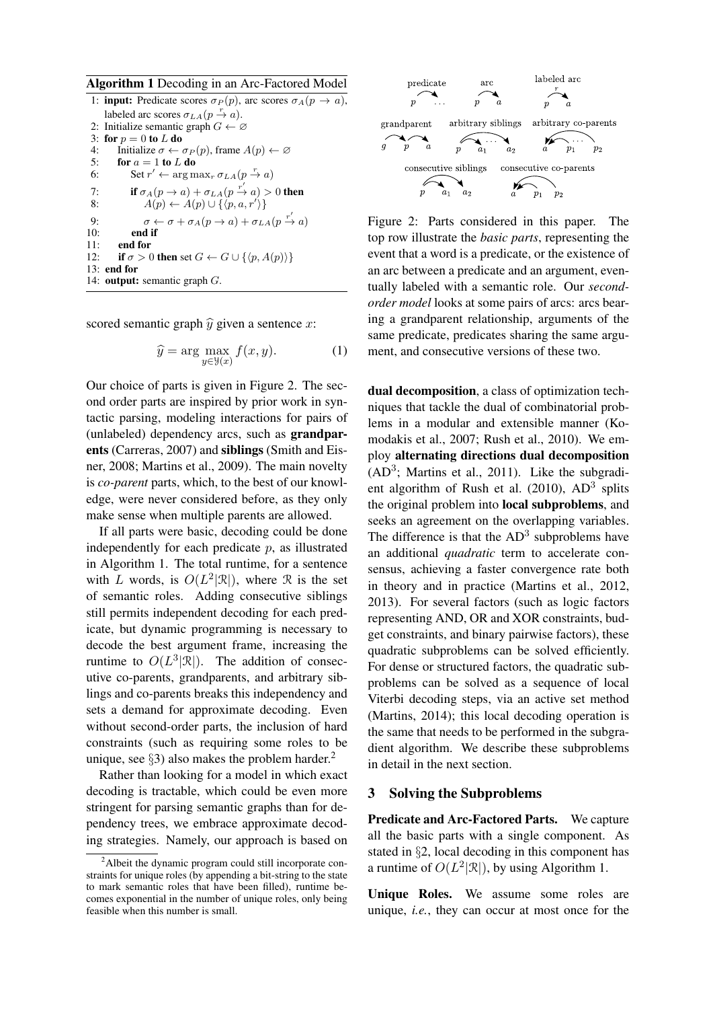Algorithm 1 Decoding in an Arc-Factored Model

|                        | 1: <b>input:</b> Predicate scores $\sigma_P(p)$ , arc scores $\sigma_A(p \to a)$ ,   |
|------------------------|--------------------------------------------------------------------------------------|
|                        | labeled arc scores $\sigma_{LA}(p \stackrel{r}{\rightarrow} a)$ .                    |
|                        | 2: Initialize semantic graph $G \leftarrow \emptyset$                                |
| 3: for $p = 0$ to L do |                                                                                      |
| 4:                     | Initialize $\sigma \leftarrow \sigma_P(p)$ , frame $A(p) \leftarrow \emptyset$       |
| 5: for $a = 1$ to L do |                                                                                      |
| 6:                     | Set $r' \leftarrow \arg \max_r \sigma_{LA}(p \rightarrow a)$                         |
| 7:                     | if $\sigma_A(p \to a) + \sigma_{LA}(p \stackrel{r'}{\to} a) > 0$ then                |
| 8:                     | $A(p) \leftarrow A(p) \cup \{\langle p, a, r'\rangle\}$                              |
| 9:                     | $\sigma \leftarrow \sigma + \sigma_A(p \to a) + \sigma_{LA}(p \stackrel{r'}{\to} a)$ |
| 10:                    | end if                                                                               |
| 11:<br>end for         |                                                                                      |
| 12:                    | if $\sigma > 0$ then set $G \leftarrow G \cup \{ \langle p, A(p) \rangle \}$         |
| $13:$ end for          |                                                                                      |
|                        | 14: <b>output:</b> semantic graph $G$ .                                              |

scored semantic graph  $\hat{y}$  given a sentence x:

$$
\widehat{y} = \arg\max_{y \in \mathcal{Y}(x)} f(x, y). \tag{1}
$$

Our choice of parts is given in Figure 2. The second order parts are inspired by prior work in syntactic parsing, modeling interactions for pairs of (unlabeled) dependency arcs, such as grandparents (Carreras, 2007) and siblings (Smith and Eisner, 2008; Martins et al., 2009). The main novelty is *co-parent* parts, which, to the best of our knowledge, were never considered before, as they only make sense when multiple parents are allowed.

If all parts were basic, decoding could be done independently for each predicate p, as illustrated in Algorithm 1. The total runtime, for a sentence with L words, is  $O(L^2|\mathcal{R}|)$ , where R is the set of semantic roles. Adding consecutive siblings still permits independent decoding for each predicate, but dynamic programming is necessary to decode the best argument frame, increasing the runtime to  $O(L^3|\mathcal{R}|)$ . The addition of consecutive co-parents, grandparents, and arbitrary siblings and co-parents breaks this independency and sets a demand for approximate decoding. Even without second-order parts, the inclusion of hard constraints (such as requiring some roles to be unique, see  $\S$ 3) also makes the problem harder.<sup>2</sup>

Rather than looking for a model in which exact decoding is tractable, which could be even more stringent for parsing semantic graphs than for dependency trees, we embrace approximate decoding strategies. Namely, our approach is based on



Figure 2: Parts considered in this paper. The top row illustrate the *basic parts*, representing the event that a word is a predicate, or the existence of an arc between a predicate and an argument, eventually labeled with a semantic role. Our *secondorder model* looks at some pairs of arcs: arcs bearing a grandparent relationship, arguments of the same predicate, predicates sharing the same argument, and consecutive versions of these two.

dual decomposition, a class of optimization techniques that tackle the dual of combinatorial problems in a modular and extensible manner (Komodakis et al., 2007; Rush et al., 2010). We employ alternating directions dual decomposition (AD<sup>3</sup>; Martins et al., 2011). Like the subgradient algorithm of Rush et al. (2010), AD<sup>3</sup> splits the original problem into local subproblems, and seeks an agreement on the overlapping variables. The difference is that the  $AD<sup>3</sup>$  subproblems have an additional *quadratic* term to accelerate consensus, achieving a faster convergence rate both in theory and in practice (Martins et al., 2012, 2013). For several factors (such as logic factors representing AND, OR and XOR constraints, budget constraints, and binary pairwise factors), these quadratic subproblems can be solved efficiently. For dense or structured factors, the quadratic subproblems can be solved as a sequence of local Viterbi decoding steps, via an active set method (Martins, 2014); this local decoding operation is the same that needs to be performed in the subgradient algorithm. We describe these subproblems in detail in the next section.

#### 3 Solving the Subproblems

Predicate and Arc-Factored Parts. We capture all the basic parts with a single component. As stated in §2, local decoding in this component has a runtime of  $O(L^2|\mathcal{R}|)$ , by using Algorithm 1.

Unique Roles. We assume some roles are unique, *i.e.*, they can occur at most once for the

<sup>&</sup>lt;sup>2</sup>Albeit the dynamic program could still incorporate constraints for unique roles (by appending a bit-string to the state to mark semantic roles that have been filled), runtime becomes exponential in the number of unique roles, only being feasible when this number is small.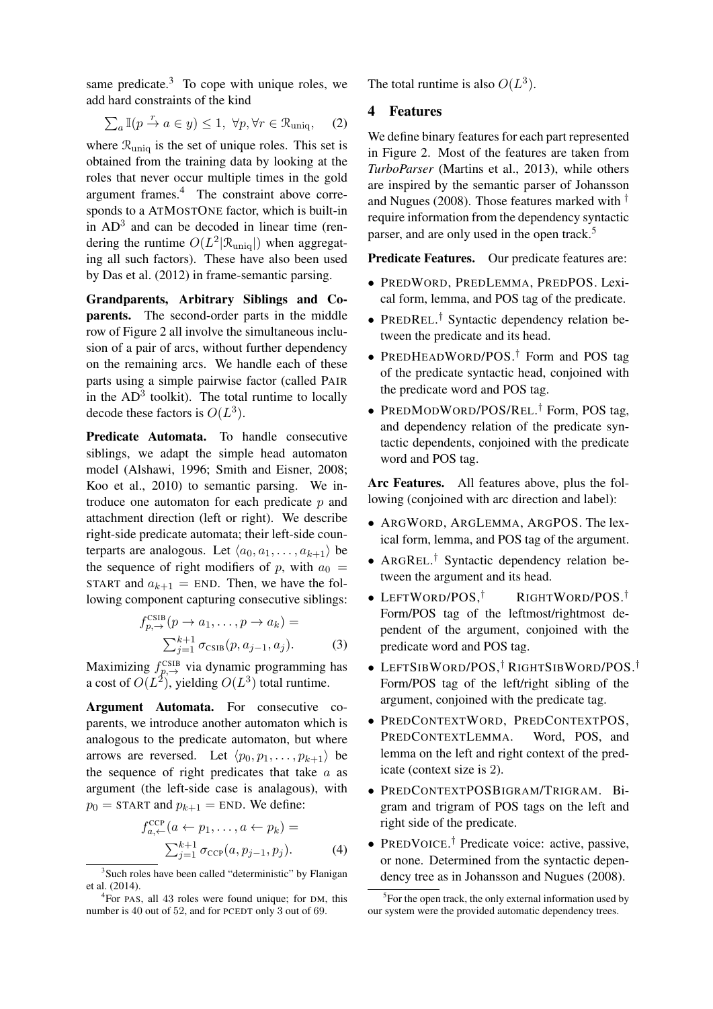same predicate. $3$  To cope with unique roles, we add hard constraints of the kind

$$
\sum_{a} \mathbb{I}(p \stackrel{r}{\to} a \in y) \le 1, \ \forall p, \forall r \in \mathcal{R}_{\text{uniq}}, \quad (2)
$$

where  $\mathcal{R}_{\text{uniq}}$  is the set of unique roles. This set is obtained from the training data by looking at the roles that never occur multiple times in the gold argument frames.<sup>4</sup> The constraint above corresponds to a ATMOSTONE factor, which is built-in in  $AD<sup>3</sup>$  and can be decoded in linear time (rendering the runtime  $O(L^2 |\mathcal{R}_{\text{uniq}}|)$  when aggregating all such factors). These have also been used by Das et al. (2012) in frame-semantic parsing.

Grandparents, Arbitrary Siblings and Coparents. The second-order parts in the middle row of Figure 2 all involve the simultaneous inclusion of a pair of arcs, without further dependency on the remaining arcs. We handle each of these parts using a simple pairwise factor (called PAIR in the  $AD^3$  toolkit). The total runtime to locally decode these factors is  $O(L^3)$ .

Predicate Automata. To handle consecutive siblings, we adapt the simple head automaton model (Alshawi, 1996; Smith and Eisner, 2008; Koo et al., 2010) to semantic parsing. We introduce one automaton for each predicate  $p$  and attachment direction (left or right). We describe right-side predicate automata; their left-side counterparts are analogous. Let  $\langle a_0, a_1, \ldots, a_{k+1} \rangle$  be the sequence of right modifiers of p, with  $a_0 =$ START and  $a_{k+1}$  = END. Then, we have the following component capturing consecutive siblings:

$$
f_{p,\rightarrow}^{\text{CSIB}}(p \rightarrow a_1, \dots, p \rightarrow a_k) =
$$
  

$$
\sum_{j=1}^{k+1} \sigma_{\text{CSIB}}(p, a_{j-1}, a_j).
$$
 (3)

Maximizing  $f_{p,\rightarrow}^{\text{CSIB}}$  via dynamic programming has a cost of  $O(L^2)$ , yielding  $O(L^3)$  total runtime.

Argument Automata. For consecutive coparents, we introduce another automaton which is analogous to the predicate automaton, but where arrows are reversed. Let  $\langle p_0, p_1, \ldots, p_{k+1} \rangle$  be the sequence of right predicates that take  $a$  as argument (the left-side case is analagous), with  $p_0$  = START and  $p_{k+1}$  = END. We define:

$$
f_{a,\leftarrow}^{\text{CCP}}(a \leftarrow p_1, \dots, a \leftarrow p_k) =
$$

$$
\sum_{j=1}^{k+1} \sigma_{\text{CCP}}(a, p_{j-1}, p_j).
$$
 (4)

The total runtime is also  $O(L^3)$ .

# 4 Features

We define binary features for each part represented in Figure 2. Most of the features are taken from *TurboParser* (Martins et al., 2013), while others are inspired by the semantic parser of Johansson and Nugues (2008). Those features marked with  $\dagger$ require information from the dependency syntactic parser, and are only used in the open track.<sup>5</sup>

Predicate Features. Our predicate features are:

- PREDWORD, PREDLEMMA, PREDPOS. Lexical form, lemma, and POS tag of the predicate.
- PREDREL. † Syntactic dependency relation between the predicate and its head.
- PREDHEADWORD/POS.<sup>†</sup> Form and POS tag of the predicate syntactic head, conjoined with the predicate word and POS tag.
- PREDMODWORD/POS/REL. † Form, POS tag, and dependency relation of the predicate syntactic dependents, conjoined with the predicate word and POS tag.

Arc Features. All features above, plus the following (conjoined with arc direction and label):

- ARGWORD, ARGLEMMA, ARGPOS. The lexical form, lemma, and POS tag of the argument.
- ARGREL. † Syntactic dependency relation between the argument and its head.
- LEFTWORD/POS.<sup>†</sup> RIGHTWORD/POS.<sup>†</sup> Form/POS tag of the leftmost/rightmost dependent of the argument, conjoined with the predicate word and POS tag.
- LEFTSIBWORD/POS,† RIGHTSIBWORD/POS.† Form/POS tag of the left/right sibling of the argument, conjoined with the predicate tag.
- PREDCONTEXTWORD, PREDCONTEXTPOS, PREDCONTEXTLEMMA. Word, POS, and lemma on the left and right context of the predicate (context size is 2).
- PREDCONTEXTPOSBIGRAM/TRIGRAM. Bigram and trigram of POS tags on the left and right side of the predicate.
- PREDVOICE. † Predicate voice: active, passive, or none. Determined from the syntactic dependency tree as in Johansson and Nugues (2008).

<sup>&</sup>lt;sup>3</sup>Such roles have been called "deterministic" by Flanigan et al. (2014).

<sup>4</sup> For PAS, all 43 roles were found unique; for DM, this number is 40 out of 52, and for PCEDT only 3 out of 69.

<sup>&</sup>lt;sup>5</sup>For the open track, the only external information used by our system were the provided automatic dependency trees.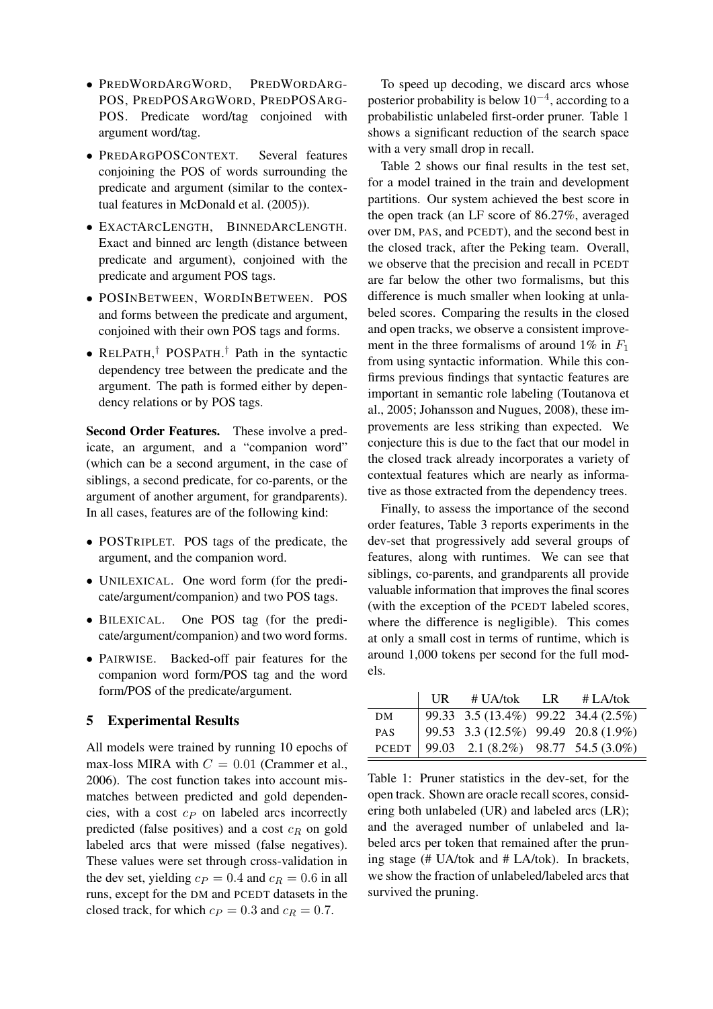- PREDWORDARGWORD, PREDWORDARG-POS, PREDPOSARGWORD, PREDPOSARG-POS. Predicate word/tag conjoined with argument word/tag.
- PREDARGPOSCONTEXT. Several features conjoining the POS of words surrounding the predicate and argument (similar to the contextual features in McDonald et al. (2005)).
- EXACTARCLENGTH, BINNEDARCLENGTH. Exact and binned arc length (distance between predicate and argument), conjoined with the predicate and argument POS tags.
- POSINBETWEEN, WORDINBETWEEN. POS and forms between the predicate and argument, conjoined with their own POS tags and forms.
- RELPATH,<sup>†</sup> POSPATH.<sup>†</sup> Path in the syntactic dependency tree between the predicate and the argument. The path is formed either by dependency relations or by POS tags.

Second Order Features. These involve a predicate, an argument, and a "companion word" (which can be a second argument, in the case of siblings, a second predicate, for co-parents, or the argument of another argument, for grandparents). In all cases, features are of the following kind:

- POSTRIPLET. POS tags of the predicate, the argument, and the companion word.
- UNILEXICAL. One word form (for the predicate/argument/companion) and two POS tags.
- BILEXICAL. One POS tag (for the predicate/argument/companion) and two word forms.
- PAIRWISE. Backed-off pair features for the companion word form/POS tag and the word form/POS of the predicate/argument.

### 5 Experimental Results

All models were trained by running 10 epochs of max-loss MIRA with  $C = 0.01$  (Crammer et al., 2006). The cost function takes into account mismatches between predicted and gold dependencies, with a cost  $c_P$  on labeled arcs incorrectly predicted (false positives) and a cost  $c_R$  on gold labeled arcs that were missed (false negatives). These values were set through cross-validation in the dev set, yielding  $c_P = 0.4$  and  $c_R = 0.6$  in all runs, except for the DM and PCEDT datasets in the closed track, for which  $c_P = 0.3$  and  $c_R = 0.7$ .

To speed up decoding, we discard arcs whose posterior probability is below  $10^{-4}$ , according to a probabilistic unlabeled first-order pruner. Table 1 shows a significant reduction of the search space with a very small drop in recall.

Table 2 shows our final results in the test set, for a model trained in the train and development partitions. Our system achieved the best score in the open track (an LF score of 86.27%, averaged over DM, PAS, and PCEDT), and the second best in the closed track, after the Peking team. Overall, we observe that the precision and recall in PCEDT are far below the other two formalisms, but this difference is much smaller when looking at unlabeled scores. Comparing the results in the closed and open tracks, we observe a consistent improvement in the three formalisms of around 1% in  $F_1$ from using syntactic information. While this confirms previous findings that syntactic features are important in semantic role labeling (Toutanova et al., 2005; Johansson and Nugues, 2008), these improvements are less striking than expected. We conjecture this is due to the fact that our model in the closed track already incorporates a variety of contextual features which are nearly as informative as those extracted from the dependency trees.

Finally, to assess the importance of the second order features, Table 3 reports experiments in the dev-set that progressively add several groups of features, along with runtimes. We can see that siblings, co-parents, and grandparents all provide valuable information that improves the final scores (with the exception of the PCEDT labeled scores, where the difference is negligible). This comes at only a small cost in terms of runtime, which is around 1,000 tokens per second for the full models.

|              | UR | # UA/tok LR                                | # LA/tok |
|--------------|----|--------------------------------------------|----------|
| DM           |    | 99.33 3.5 (13.4%) 99.22 34.4 (2.5%)        |          |
| <b>PAS</b>   |    | 99.53 3.3 (12.5%) 99.49 20.8 (1.9%)        |          |
| <b>PCEDT</b> |    | $\vert$ 99.03 2.1 (8.2%) 98.77 54.5 (3.0%) |          |

Table 1: Pruner statistics in the dev-set, for the open track. Shown are oracle recall scores, considering both unlabeled (UR) and labeled arcs (LR); and the averaged number of unlabeled and labeled arcs per token that remained after the pruning stage (# UA/tok and # LA/tok). In brackets, we show the fraction of unlabeled/labeled arcs that survived the pruning.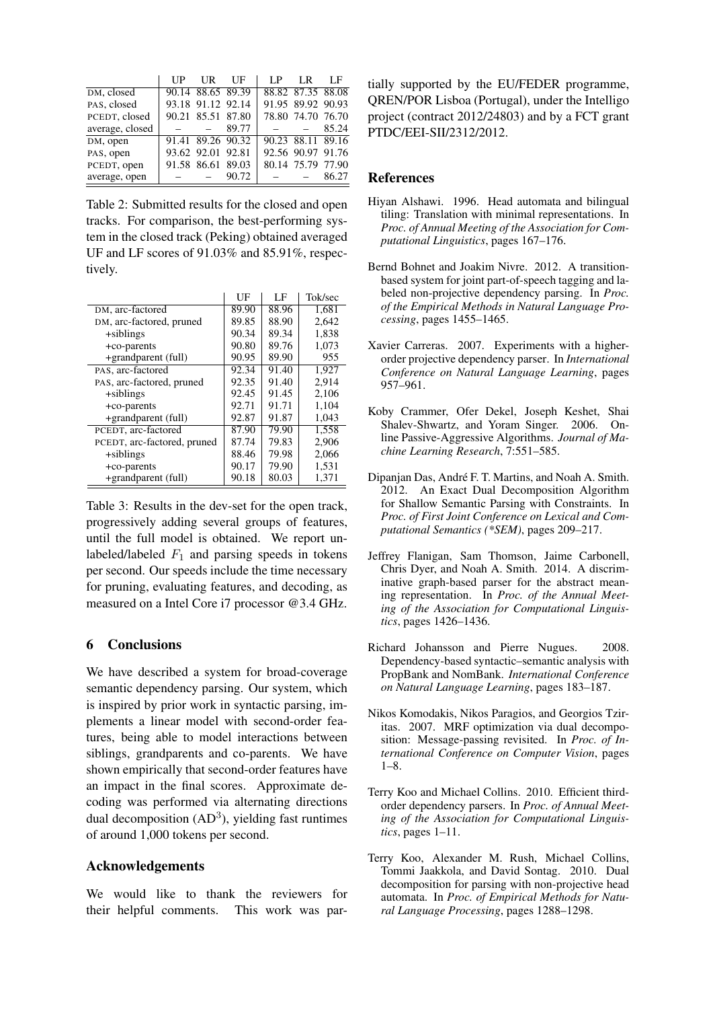|                 | UP                                                                  | UR                                                                   | UF    | I P | LR.                                                                         | - LF  |
|-----------------|---------------------------------------------------------------------|----------------------------------------------------------------------|-------|-----|-----------------------------------------------------------------------------|-------|
| DM, closed      |                                                                     | 90.14 88.65 89.39                                                    |       |     | 88.82 87.35 88.08                                                           |       |
| PAS, closed     |                                                                     | 93.18 91.12 92.14                                                    |       |     | 91.95 89.92 90.93                                                           |       |
| PCEDT, closed   |                                                                     | 90.21 85.51 87.80                                                    |       |     | 78.80 74.70 76.70                                                           |       |
| average, closed |                                                                     | $\mathcal{L} = \{ \mathcal{L} \mid \mathcal{L} \in \mathcal{L} \}$ . | 89.77 |     | $\mathcal{L} = \{ \mathcal{L} \}$ , where $\mathcal{L} = \{ \mathcal{L} \}$ | 85.24 |
| DM, open        |                                                                     | 91.41 89.26 90.32                                                    |       |     | 90.23 88.11 89.16                                                           |       |
| PAS, open       |                                                                     | 93.62 92.01 92.81                                                    |       |     | 92.56 90.97 91.76                                                           |       |
| PCEDT, open     |                                                                     | 91.58 86.61 89.03                                                    |       |     | 80.14 75.79 77.90                                                           |       |
| average, open   | $\begin{array}{cccccccccccccc} - & & & & & & & - & & & \end{array}$ |                                                                      | 90.72 |     | $\mathcal{L}(\mathcal{L}(\mathcal{L}))$ and $\mathcal{L}(\mathcal{L})$      | 86.27 |

Table 2: Submitted results for the closed and open tracks. For comparison, the best-performing system in the closed track (Peking) obtained averaged UF and LF scores of 91.03% and 85.91%, respectively.

|                             | UF    | LF    | Tok/sec |
|-----------------------------|-------|-------|---------|
| DM, arc-factored            | 89.90 | 88.96 | 1.681   |
| DM, arc-factored, pruned    | 89.85 | 88.90 | 2,642   |
| +siblings                   | 90.34 | 89.34 | 1,838   |
| +co-parents                 | 90.80 | 89.76 | 1,073   |
| +grandparent (full)         | 90.95 | 89.90 | 955     |
| PAS, arc-factored           | 92.34 | 91.40 | 1,927   |
| PAS, arc-factored, pruned   | 92.35 | 91.40 | 2,914   |
| +siblings                   | 92.45 | 91.45 | 2,106   |
| +co-parents                 | 92.71 | 91.71 | 1,104   |
| +grandparent (full)         | 92.87 | 91.87 | 1.043   |
| PCEDT, arc-factored         | 87.90 | 79.90 | 1,558   |
| PCEDT, arc-factored, pruned | 87.74 | 79.83 | 2,906   |
| +siblings                   | 88.46 | 79.98 | 2,066   |
| +co-parents                 | 90.17 | 79.90 | 1,531   |
| +grandparent (full)         | 90.18 | 80.03 | 1,371   |

Table 3: Results in the dev-set for the open track, progressively adding several groups of features, until the full model is obtained. We report unlabeled/labeled  $F_1$  and parsing speeds in tokens per second. Our speeds include the time necessary for pruning, evaluating features, and decoding, as measured on a Intel Core i7 processor @3.4 GHz.

### 6 Conclusions

We have described a system for broad-coverage semantic dependency parsing. Our system, which is inspired by prior work in syntactic parsing, implements a linear model with second-order features, being able to model interactions between siblings, grandparents and co-parents. We have shown empirically that second-order features have an impact in the final scores. Approximate decoding was performed via alternating directions dual decomposition  $(AD<sup>3</sup>)$ , yielding fast runtimes of around 1,000 tokens per second.

### Acknowledgements

We would like to thank the reviewers for their helpful comments. This work was partially supported by the EU/FEDER programme, QREN/POR Lisboa (Portugal), under the Intelligo project (contract 2012/24803) and by a FCT grant PTDC/EEI-SII/2312/2012.

## References

- Hiyan Alshawi. 1996. Head automata and bilingual tiling: Translation with minimal representations. In *Proc. of Annual Meeting of the Association for Computational Linguistics*, pages 167–176.
- Bernd Bohnet and Joakim Nivre. 2012. A transitionbased system for joint part-of-speech tagging and labeled non-projective dependency parsing. In *Proc. of the Empirical Methods in Natural Language Processing*, pages 1455–1465.
- Xavier Carreras. 2007. Experiments with a higherorder projective dependency parser. In *International Conference on Natural Language Learning*, pages 957–961.
- Koby Crammer, Ofer Dekel, Joseph Keshet, Shai Shalev-Shwartz, and Yoram Singer. 2006. Online Passive-Aggressive Algorithms. *Journal of Machine Learning Research*, 7:551–585.
- Dipanjan Das, André F. T. Martins, and Noah A. Smith. 2012. An Exact Dual Decomposition Algorithm for Shallow Semantic Parsing with Constraints. In *Proc. of First Joint Conference on Lexical and Computational Semantics (\*SEM)*, pages 209–217.
- Jeffrey Flanigan, Sam Thomson, Jaime Carbonell, Chris Dyer, and Noah A. Smith. 2014. A discriminative graph-based parser for the abstract meaning representation. In *Proc. of the Annual Meeting of the Association for Computational Linguistics*, pages 1426–1436.
- Richard Johansson and Pierre Nugues. 2008. Dependency-based syntactic–semantic analysis with PropBank and NomBank. *International Conference on Natural Language Learning*, pages 183–187.
- Nikos Komodakis, Nikos Paragios, and Georgios Tziritas. 2007. MRF optimization via dual decomposition: Message-passing revisited. In *Proc. of International Conference on Computer Vision*, pages 1–8.
- Terry Koo and Michael Collins. 2010. Efficient thirdorder dependency parsers. In *Proc. of Annual Meeting of the Association for Computational Linguistics*, pages 1–11.
- Terry Koo, Alexander M. Rush, Michael Collins, Tommi Jaakkola, and David Sontag. 2010. Dual decomposition for parsing with non-projective head automata. In *Proc. of Empirical Methods for Natural Language Processing*, pages 1288–1298.